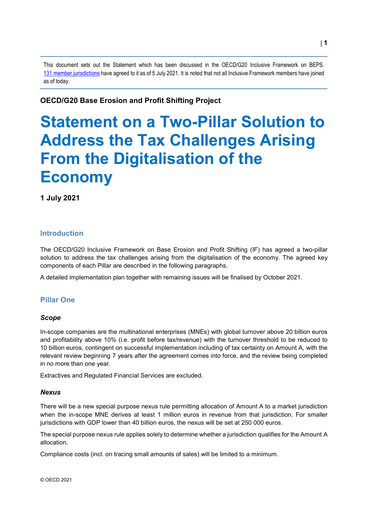This document sets out the Statement which has been discussed in the OECD/G20 Inclusive Framework on BEPS. 131 [member jurisdictions](https://www.oecd.org/tax/beps/oecd-g20-inclusive-framework-members-joining-statement-on-two-pillar-solution-to-address-tax-challenges-arising-from-digitalisation-july-2021.pdf) have agreed to it as of 5 July 2021. It is noted that not all Inclusive Framework members have joined as of today.

# **OECD/G20 Base Erosion and Profit Shifting Project**

# **Statement on a Two-Pillar Solution to Address the Tax Challenges Arising From the Digitalisation of the Economy**

**1 July 2021**

# **Introduction**

The OECD/G20 Inclusive Framework on Base Erosion and Profit Shifting (IF) has agreed a two-pillar solution to address the tax challenges arising from the digitalisation of the economy. The agreed key components of each Pillar are described in the following paragraphs.

A detailed implementation plan together with remaining issues will be finalised by October 2021.

# **Pillar One**

## *Scope*

In-scope companies are the multinational enterprises (MNEs) with global turnover above 20 billion euros and profitability above 10% (i.e. profit before tax/revenue) with the turnover threshold to be reduced to 10 billion euros, contingent on successful implementation including of tax certainty on Amount A, with the relevant review beginning 7 years after the agreement comes into force, and the review being completed in no more than one year.

Extractives and Regulated Financial Services are excluded.

## *Nexus*

There will be a new special purpose nexus rule permitting allocation of Amount A to a market jurisdiction when the in-scope MNE derives at least 1 million euros in revenue from that jurisdiction. For smaller jurisdictions with GDP lower than 40 billion euros, the nexus will be set at 250 000 euros.

The special purpose nexus rule applies solely to determine whether a jurisdiction qualifies for the Amount A allocation.

Compliance costs (incl. on tracing small amounts of sales) will be limited to a minimum.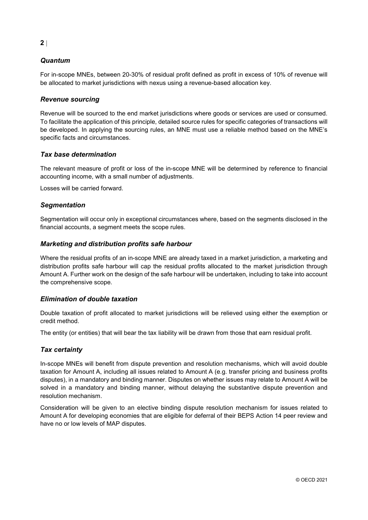# *Quantum*

For in-scope MNEs, between 20-30% of residual profit defined as profit in excess of 10% of revenue will be allocated to market jurisdictions with nexus using a revenue-based allocation key.

## *Revenue sourcing*

Revenue will be sourced to the end market jurisdictions where goods or services are used or consumed. To facilitate the application of this principle, detailed source rules for specific categories of transactions will be developed. In applying the sourcing rules, an MNE must use a reliable method based on the MNE's specific facts and circumstances.

## *Tax base determination*

The relevant measure of profit or loss of the in-scope MNE will be determined by reference to financial accounting income, with a small number of adjustments.

Losses will be carried forward.

## *Segmentation*

Segmentation will occur only in exceptional circumstances where, based on the segments disclosed in the financial accounts, a segment meets the scope rules.

## *Marketing and distribution profits safe harbour*

Where the residual profits of an in-scope MNE are already taxed in a market jurisdiction, a marketing and distribution profits safe harbour will cap the residual profits allocated to the market jurisdiction through Amount A. Further work on the design of the safe harbour will be undertaken, including to take into account the comprehensive scope.

## *Elimination of double taxation*

Double taxation of profit allocated to market jurisdictions will be relieved using either the exemption or credit method.

The entity (or entities) that will bear the tax liability will be drawn from those that earn residual profit.

## *Tax certainty*

In-scope MNEs will benefit from dispute prevention and resolution mechanisms, which will avoid double taxation for Amount A, including all issues related to Amount A (e.g. transfer pricing and business profits disputes), in a mandatory and binding manner. Disputes on whether issues may relate to Amount A will be solved in a mandatory and binding manner, without delaying the substantive dispute prevention and resolution mechanism.

Consideration will be given to an elective binding dispute resolution mechanism for issues related to Amount A for developing economies that are eligible for deferral of their BEPS Action 14 peer review and have no or low levels of MAP disputes.

## **2** |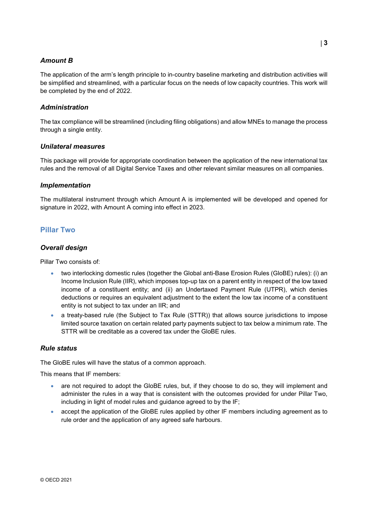## *Amount B*

The application of the arm's length principle to in-country baseline marketing and distribution activities will be simplified and streamlined, with a particular focus on the needs of low capacity countries. This work will be completed by the end of 2022.

## *Administration*

The tax compliance will be streamlined (including filing obligations) and allow MNEs to manage the process through a single entity.

## *Unilateral measures*

This package will provide for appropriate coordination between the application of the new international tax rules and the removal of all Digital Service Taxes and other relevant similar measures on all companies.

## *Implementation*

The multilateral instrument through which Amount A is implemented will be developed and opened for signature in 2022, with Amount A coming into effect in 2023.

## **Pillar Two**

## *Overall design*

Pillar Two consists of:

- two interlocking domestic rules (together the Global anti-Base Erosion Rules (GloBE) rules): (i) an Income Inclusion Rule (IIR), which imposes top-up tax on a parent entity in respect of the low taxed income of a constituent entity; and (ii) an Undertaxed Payment Rule (UTPR), which denies deductions or requires an equivalent adjustment to the extent the low tax income of a constituent entity is not subject to tax under an IIR; and
- a treaty-based rule (the Subject to Tax Rule (STTR)) that allows source jurisdictions to impose limited source taxation on certain related party payments subject to tax below a minimum rate. The STTR will be creditable as a covered tax under the GloBE rules.

## *Rule status*

The GloBE rules will have the status of a common approach.

This means that IF members:

- are not required to adopt the GloBE rules, but, if they choose to do so, they will implement and administer the rules in a way that is consistent with the outcomes provided for under Pillar Two, including in light of model rules and guidance agreed to by the IF;
- accept the application of the GloBE rules applied by other IF members including agreement as to rule order and the application of any agreed safe harbours.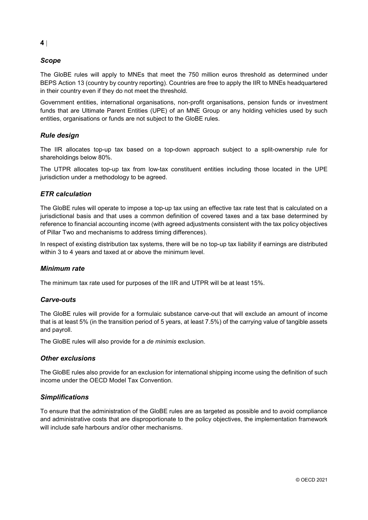## *Scope*

The GloBE rules will apply to MNEs that meet the 750 million euros threshold as determined under BEPS Action 13 (country by country reporting). Countries are free to apply the IIR to MNEs headquartered in their country even if they do not meet the threshold.

Government entities, international organisations, non-profit organisations, pension funds or investment funds that are Ultimate Parent Entities (UPE) of an MNE Group or any holding vehicles used by such entities, organisations or funds are not subject to the GloBE rules.

## *Rule design*

The IIR allocates top-up tax based on a top-down approach subject to a split-ownership rule for shareholdings below 80%.

The UTPR allocates top-up tax from low-tax constituent entities including those located in the UPE jurisdiction under a methodology to be agreed.

## *ETR calculation*

The GloBE rules will operate to impose a top-up tax using an effective tax rate test that is calculated on a jurisdictional basis and that uses a common definition of covered taxes and a tax base determined by reference to financial accounting income (with agreed adjustments consistent with the tax policy objectives of Pillar Two and mechanisms to address timing differences).

In respect of existing distribution tax systems, there will be no top-up tax liability if earnings are distributed within 3 to 4 years and taxed at or above the minimum level.

## *Minimum rate*

The minimum tax rate used for purposes of the IIR and UTPR will be at least 15%.

## *Carve-outs*

The GloBE rules will provide for a formulaic substance carve-out that will exclude an amount of income that is at least 5% (in the transition period of 5 years, at least 7.5%) of the carrying value of tangible assets and payroll.

The GloBE rules will also provide for a *de minimis* exclusion.

#### *Other exclusions*

The GloBE rules also provide for an exclusion for international shipping income using the definition of such income under the OECD Model Tax Convention.

## *Simplifications*

To ensure that the administration of the GloBE rules are as targeted as possible and to avoid compliance and administrative costs that are disproportionate to the policy objectives, the implementation framework will include safe harbours and/or other mechanisms.

#### **4** |